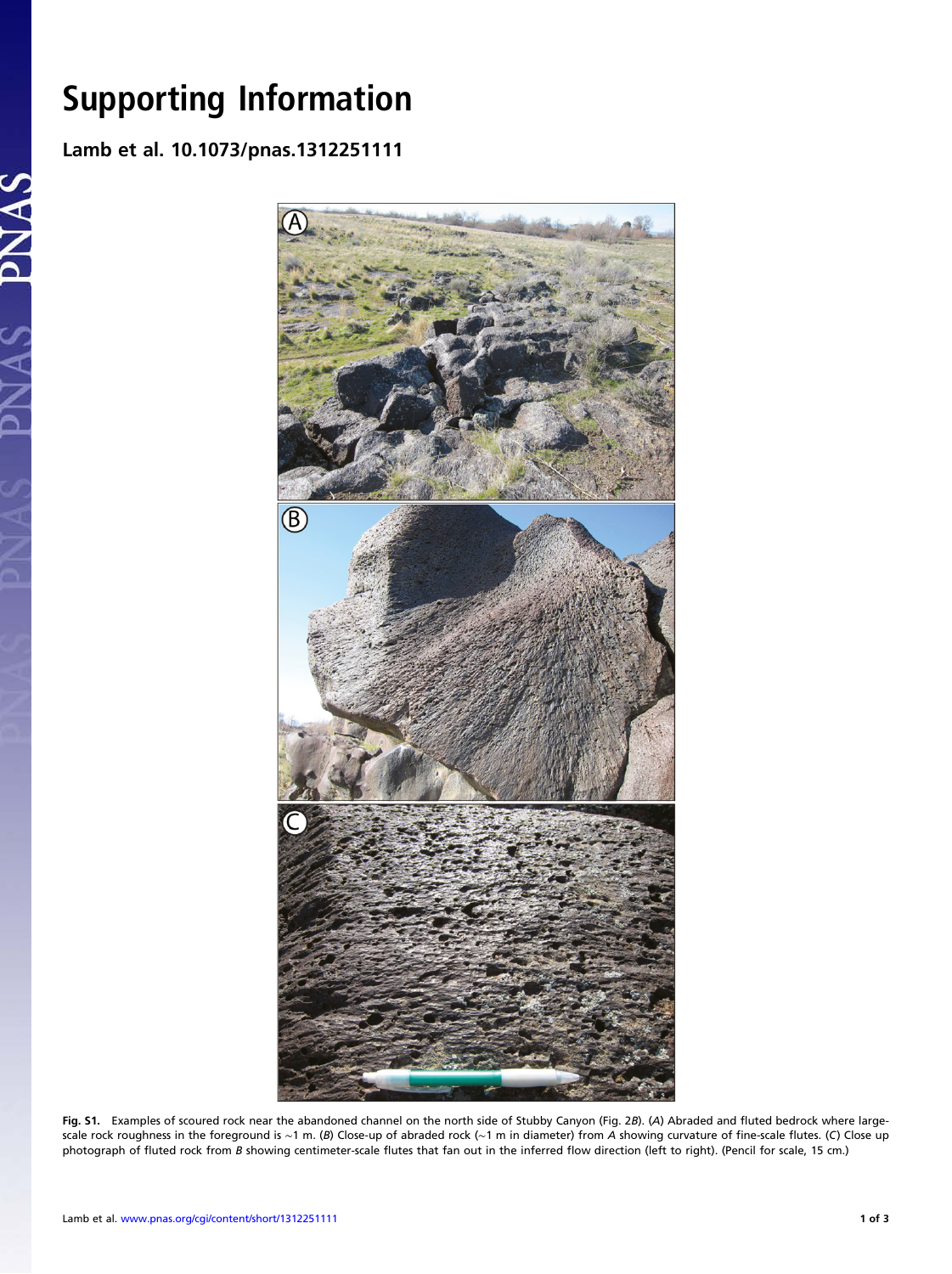## Support in the Information of the Information of the Information of the Information of the Information of the Information of the Information of the Information of the Information of the Information of the Information of th Lamb et al. 10.1073/pnas.1312251111

PNAS



Fig. S1. Examples of scoured rock near the abandoned channel on the north side of Stubby Canyon (Fig. 2B). (A) Abraded and fluted bedrock where largescale rock roughness in the foreground is ~1 m. (B) Close-up of abraded rock (~1 m in diameter) from A showing curvature of fine-scale flutes. (C) Close up photograph of fluted rock from B showing centimeter-scale flutes that fan out in the inferred flow direction (left to right). (Pencil for scale, 15 cm.)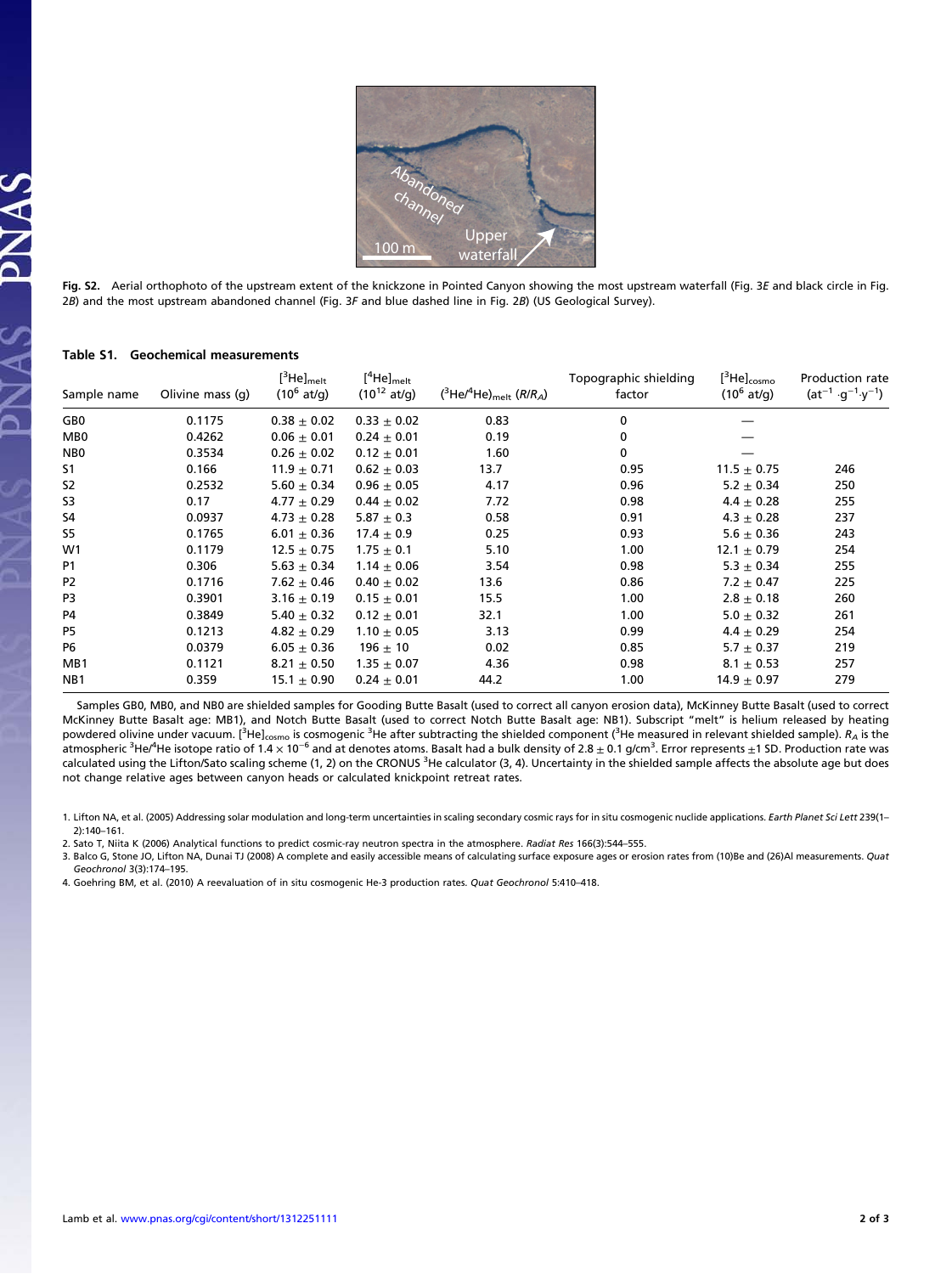

Fig. S2. Aerial orthophoto of the upstream extent of the knickzone in Pointed Canyon showing the most upstream waterfall (Fig. 3E and black circle in Fig. 2B) and the most upstream abandoned channel (Fig. 3F and blue dashed line in Fig. 2B) (US Geological Survey).

| Sample name     | Olivine mass (q) | $[^3$ He] <sub>melt</sub><br>$(10^6 \text{ at/g})$ | $[^4$ He] <sub>melt</sub><br>$(10^{12}$ at/g) | ( ${}^{3}$ He/ ${}^{4}$ He) <sub>melt</sub> (R/R <sub>A</sub> ) | Topographic shielding<br>factor | $[^3$ He] $_{\rm cosmo}$<br>$(10^6 \text{ at/g})$ | Production rate<br>$(at^{-1} \cdot g^{-1} \cdot y^{-1})$ |
|-----------------|------------------|----------------------------------------------------|-----------------------------------------------|-----------------------------------------------------------------|---------------------------------|---------------------------------------------------|----------------------------------------------------------|
| GB <sub>0</sub> | 0.1175           | $0.38 \pm 0.02$                                    | $0.33 \pm 0.02$                               | 0.83                                                            | 0                               |                                                   |                                                          |
| MB <sub>0</sub> | 0.4262           | $0.06 \pm 0.01$                                    | $0.24 + 0.01$                                 | 0.19                                                            | $\mathbf{0}$                    |                                                   |                                                          |
| NB <sub>0</sub> | 0.3534           | $0.26 \pm 0.02$                                    | $0.12 \pm 0.01$                               | 1.60                                                            | 0                               |                                                   |                                                          |
| S <sub>1</sub>  | 0.166            | $11.9 \pm 0.71$                                    | $0.62 \pm 0.03$                               | 13.7                                                            | 0.95                            | $11.5 \pm 0.75$                                   | 246                                                      |
| <b>S2</b>       | 0.2532           | $5.60 \pm 0.34$                                    | $0.96 \pm 0.05$                               | 4.17                                                            | 0.96                            | $5.2 \pm 0.34$                                    | 250                                                      |
| S3              | 0.17             | $4.77 \pm 0.29$                                    | $0.44 \pm 0.02$                               | 7.72                                                            | 0.98                            | $4.4 \pm 0.28$                                    | 255                                                      |
| S4              | 0.0937           | $4.73 \pm 0.28$                                    | $5.87 + 0.3$                                  | 0.58                                                            | 0.91                            | $4.3 \pm 0.28$                                    | 237                                                      |
| <b>S5</b>       | 0.1765           | $6.01 \pm 0.36$                                    | $17.4 \pm 0.9$                                | 0.25                                                            | 0.93                            | $5.6 \pm 0.36$                                    | 243                                                      |
| W1              | 0.1179           | $12.5 \pm 0.75$                                    | $1.75 \pm 0.1$                                | 5.10                                                            | 1.00                            | $12.1 \pm 0.79$                                   | 254                                                      |
| P <sub>1</sub>  | 0.306            | $5.63 \pm 0.34$                                    | $1.14 \pm 0.06$                               | 3.54                                                            | 0.98                            | $5.3 \pm 0.34$                                    | 255                                                      |
| P <sub>2</sub>  | 0.1716           | $7.62 \pm 0.46$                                    | $0.40 \pm 0.02$                               | 13.6                                                            | 0.86                            | $7.2 \pm 0.47$                                    | 225                                                      |
| P3              | 0.3901           | $3.16 \pm 0.19$                                    | $0.15 \pm 0.01$                               | 15.5                                                            | 1.00                            | $2.8 \pm 0.18$                                    | 260                                                      |
| P4              | 0.3849           | $5.40 \pm 0.32$                                    | $0.12 \pm 0.01$                               | 32.1                                                            | 1.00                            | $5.0 \pm 0.32$                                    | 261                                                      |
| P5              | 0.1213           | $4.82 \pm 0.29$                                    | $1.10 \pm 0.05$                               | 3.13                                                            | 0.99                            | $4.4 \pm 0.29$                                    | 254                                                      |
| P6              | 0.0379           | $6.05 \pm 0.36$                                    | $196 \pm 10$                                  | 0.02                                                            | 0.85                            | 5.7 $\pm$ 0.37                                    | 219                                                      |
| MB1             | 0.1121           | $8.21 \pm 0.50$                                    | $1.35 \pm 0.07$                               | 4.36                                                            | 0.98                            | $8.1 \pm 0.53$                                    | 257                                                      |
| NB <sub>1</sub> | 0.359            | $15.1 \pm 0.90$                                    | $0.24 \pm 0.01$                               | 44.2                                                            | 1.00                            | $14.9 \pm 0.97$                                   | 279                                                      |
|                 |                  |                                                    |                                               |                                                                 |                                 |                                                   |                                                          |

## Table S1. Geochemical measurements

Samples GB0, MB0, and NB0 are shielded samples for Gooding Butte Basalt (used to correct all canyon erosion data), McKinney Butte Basalt (used to correct McKinney Butte Basalt age: MB1), and Notch Butte Basalt (used to correct Notch Butte Basalt age: NB1). Subscript "melt" is helium released by heating powdered olivine under vacuum. [<sup>3</sup>He]<sub>cosmo</sub> is cosmogenic <sup>3</sup>He after subtracting the shielded component (<sup>3</sup>He measured in relevant shielded sample). *R<sub>A</sub>* is the atmospheric <sup>3</sup>He/<sup>4</sup>He isotope ratio of 1.4 × 10<sup>−6</sup> and at denotes atoms. Basalt had a bulk density of 2.8 ± 0.1 g/cm<sup>3</sup>. Error represents ±1 SD. Production rate was calculated using the Lifton/Sato scaling scheme (1, 2) on the CRONUS <sup>3</sup>He calculator (3, 4). Uncertainty in the shielded sample affects the absolute age but does not change relative ages between canyon heads or calculated knickpoint retreat rates.

3. Balco G, Stone JO, Lifton NA, Dunai TJ (2008) A complete and easily accessible means of calculating surface exposure ages or erosion rates from (10)Be and (26)Al measurements. Quat Geochronol 3(3):174–195.

4. Goehring BM, et al. (2010) A reevaluation of in situ cosmogenic He-3 production rates. Quat Geochronol 5:410–418.

<sup>1.</sup> Lifton NA, et al. (2005) Addressing solar modulation and long-term uncertainties in scaling secondary cosmic rays for in situ cosmogenic nuclide applications. Earth Planet Sci Lett 239(1-2):140–161.

<sup>2.</sup> Sato T, Niita K (2006) Analytical functions to predict cosmic-ray neutron spectra in the atmosphere. Radiat Res 166(3):544–555.